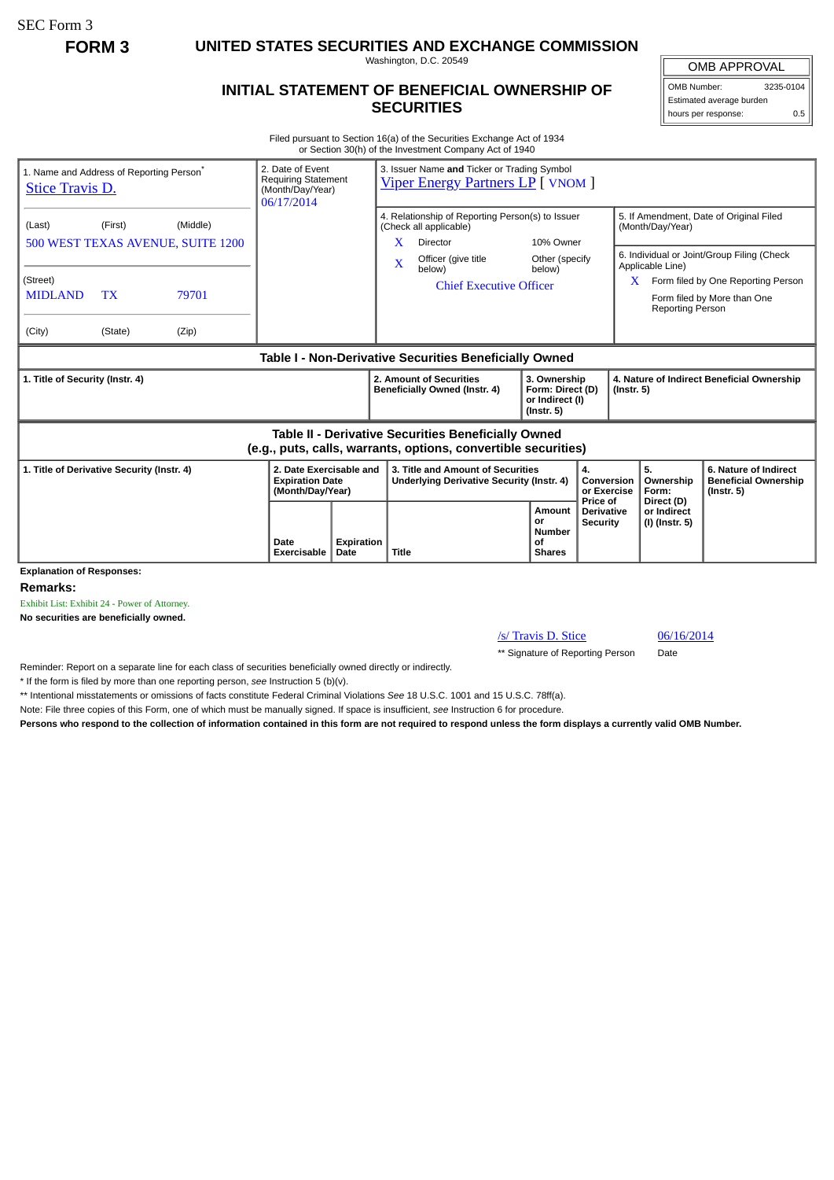SEC Form 3

**FORM 3 UNITED STATES SECURITIES AND EXCHANGE COMMISSION**

Washington, D.C. 20549

## **INITIAL STATEMENT OF BENEFICIAL OWNERSHIP OF SECURITIES**

OMB APPROVAL OMB Number: 3235-0104

Estimated average burden hours per response: 0.5

Filed pursuant to Section 16(a) of the Securities Exchange Act of 1934 or Section 30(h) of the Investment Company Act of 1940

| <b>Stice Travis D.</b>                                                                                                | 1. Name and Address of Reporting Person <sup>®</sup> | 2. Date of Event<br><b>Requiring Statement</b><br>(Month/Day/Year)<br>06/17/2014 |                                                                       | 3. Issuer Name and Ticker or Trading Symbol<br><b>Viper Energy Partners LP</b> [ VNOM ] |                                                                                       |                                                                                                                                                                  |                                                                         |                                           |                           |                                                                 |                                                                                                                                                            |  |
|-----------------------------------------------------------------------------------------------------------------------|------------------------------------------------------|----------------------------------------------------------------------------------|-----------------------------------------------------------------------|-----------------------------------------------------------------------------------------|---------------------------------------------------------------------------------------|------------------------------------------------------------------------------------------------------------------------------------------------------------------|-------------------------------------------------------------------------|-------------------------------------------|---------------------------|-----------------------------------------------------------------|------------------------------------------------------------------------------------------------------------------------------------------------------------|--|
| (Last)<br>(Street)<br><b>MIDLAND</b><br>(City)                                                                        | (First)<br><b>TX</b><br>(State)                      | (Middle)<br>500 WEST TEXAS AVENUE, SUITE 1200<br>79701<br>(Zip)                  |                                                                       |                                                                                         | X.<br>$\overline{\mathbf{X}}$                                                         | 4. Relationship of Reporting Person(s) to Issuer<br>(Check all applicable)<br><b>Director</b><br>Officer (give title<br>below)<br><b>Chief Executive Officer</b> | 10% Owner<br>Other (specify<br>below)                                   |                                           | X.                        | (Month/Day/Year)<br>Applicable Line)<br><b>Reporting Person</b> | 5. If Amendment, Date of Original Filed<br>6. Individual or Joint/Group Filing (Check<br>Form filed by One Reporting Person<br>Form filed by More than One |  |
| Table I - Non-Derivative Securities Beneficially Owned                                                                |                                                      |                                                                                  |                                                                       |                                                                                         |                                                                                       |                                                                                                                                                                  |                                                                         |                                           |                           |                                                                 |                                                                                                                                                            |  |
| 1. Title of Security (Instr. 4)                                                                                       |                                                      |                                                                                  |                                                                       |                                                                                         | 2. Amount of Securities<br>Beneficially Owned (Instr. 4)                              |                                                                                                                                                                  | 3. Ownership<br>Form: Direct (D)<br>or Indirect (I)<br>$($ lnstr. 5 $)$ |                                           |                           | 4. Nature of Indirect Beneficial Ownership<br>$($ Instr. 5 $)$  |                                                                                                                                                            |  |
| Table II - Derivative Securities Beneficially Owned<br>(e.g., puts, calls, warrants, options, convertible securities) |                                                      |                                                                                  |                                                                       |                                                                                         |                                                                                       |                                                                                                                                                                  |                                                                         |                                           |                           |                                                                 |                                                                                                                                                            |  |
| 1. Title of Derivative Security (Instr. 4)                                                                            |                                                      |                                                                                  | 2. Date Exercisable and<br><b>Expiration Date</b><br>(Month/Day/Year) |                                                                                         | 3. Title and Amount of Securities<br><b>Underlying Derivative Security (Instr. 4)</b> |                                                                                                                                                                  | 4.                                                                      |                                           | Conversion<br>or Exercise | 5.<br>Ownership<br>Form:                                        | 6. Nature of Indirect<br><b>Beneficial Ownership</b><br>$($ Instr. 5 $)$                                                                                   |  |
|                                                                                                                       |                                                      |                                                                                  | Date<br><b>Exercisable</b>                                            | <b>Expiration</b><br>Date                                                               | Title                                                                                 |                                                                                                                                                                  | Amount<br>or<br><b>Number</b><br>οf<br><b>Shares</b>                    | Price of<br>Derivative<br><b>Security</b> |                           | Direct (D)<br>or Indirect<br>(I) (Instr. 5)                     |                                                                                                                                                            |  |
| <b>Explanation of Responses:</b>                                                                                      |                                                      |                                                                                  |                                                                       |                                                                                         |                                                                                       |                                                                                                                                                                  |                                                                         |                                           |                           |                                                                 |                                                                                                                                                            |  |

**Remarks:**

Exhibit List: Exhibit 24 - Power of Attorney.

**No securities are beneficially owned.**

/s/ Travis D. Stice 06/16/2014

\*\* Signature of Reporting Person Date

Reminder: Report on a separate line for each class of securities beneficially owned directly or indirectly.

\* If the form is filed by more than one reporting person, *see* Instruction 5 (b)(v).

\*\* Intentional misstatements or omissions of facts constitute Federal Criminal Violations *See* 18 U.S.C. 1001 and 15 U.S.C. 78ff(a).

Note: File three copies of this Form, one of which must be manually signed. If space is insufficient, *see* Instruction 6 for procedure.

**Persons who respond to the collection of information contained in this form are not required to respond unless the form displays a currently valid OMB Number.**